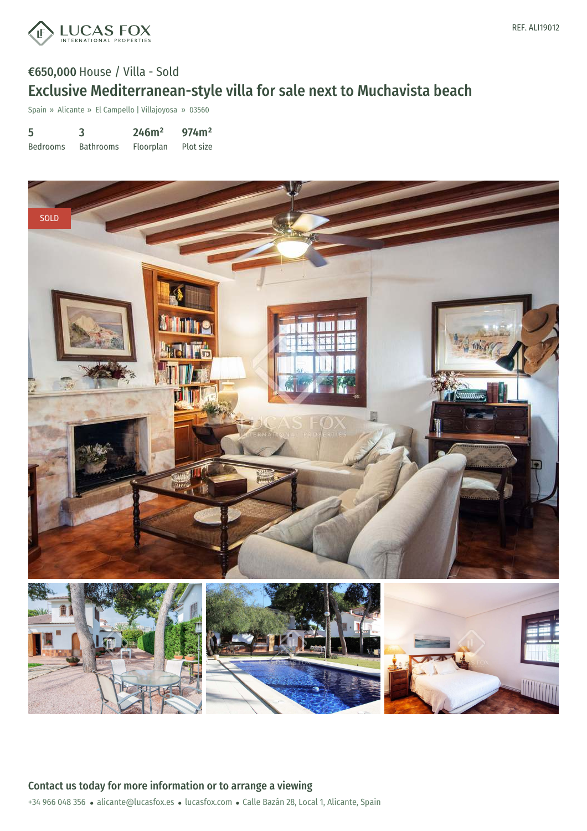

# €650,000 House / Villa - Sold Exclusive Mediterranean-style villa for sale next to Muchavista beach

Spain » Alicante » El Campello | Villajoyosa » 03560

| 5               | 3                | 246m <sup>2</sup> | 974m <sup>2</sup> |
|-----------------|------------------|-------------------|-------------------|
| <b>Bedrooms</b> | <b>Bathrooms</b> | Floorplan         | Plot size         |

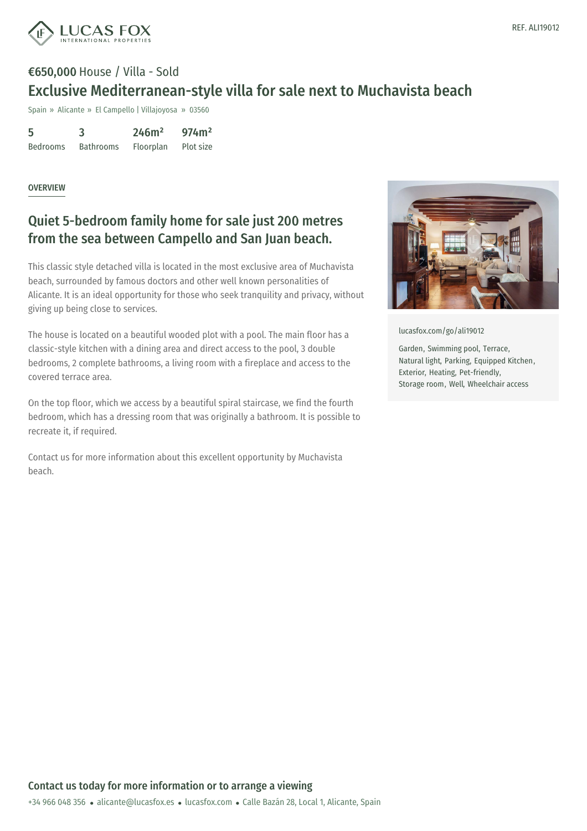

# €650,000 House / Villa - Sold Exclusive Mediterranean-style villa for sale next to Muchavista beach

Spain » Alicante » El Campello | Villajoyosa » 03560

| 5               | 3                | 246m <sup>2</sup> | 974m <sup>2</sup> |
|-----------------|------------------|-------------------|-------------------|
| <b>Bedrooms</b> | <b>Bathrooms</b> | Floorplan         | Plot size         |

#### **OVERVIEW**

### Quiet 5-bedroom family home for sale just 200 metres from the sea between Campello and San Juan beach.

This classic style detached villa is located in the most exclusive area of Muchavista beach, surrounded by famous doctors and other well known personalities of Alicante. It is an ideal opportunity for those who seek tranquility and privacy, without giving up being close to services.

The house is located on a beautiful wooded plot with a pool. The main floor has a classic-style kitchen with a dining area and direct access to the pool, 3 double bedrooms, 2 complete bathrooms, a living room with a fireplace and access to the covered terrace area.

On the top floor, which we access by a beautiful spiral staircase, we find the fourth bedroom, which has a dressing room that was originally a bathroom. It is possible to recreate it, if required.

Contact us for more information about this excellent opportunity by Muchavista beach.



[lucasfox.com/go/ali19012](https://www.lucasfox.com/go/ali19012)

Garden, Swimming pool, Terrace, Natural light, Parking, Equipped Kitchen, Exterior, Heating, Pet-friendly, Storage room, Well, Wheelchair access